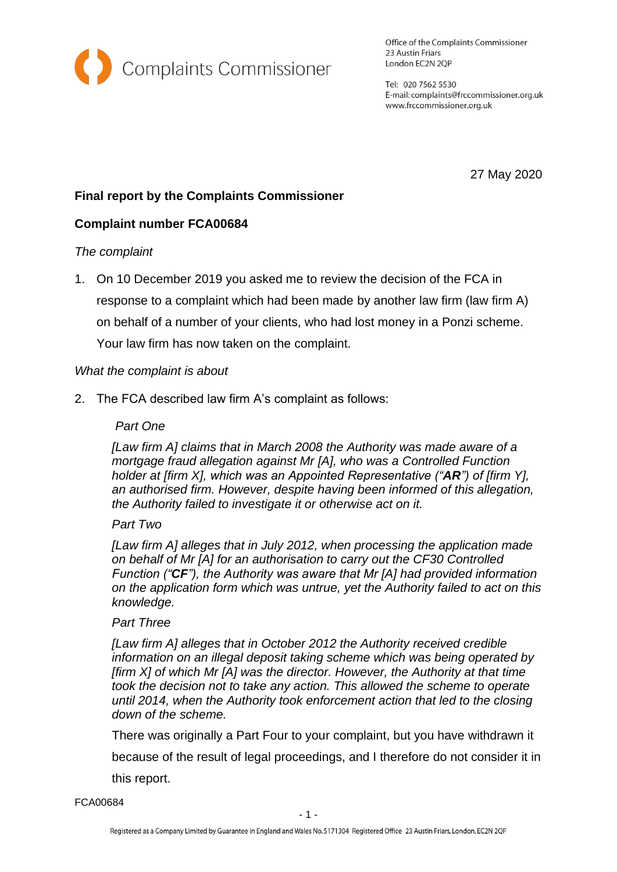

Office of the Complaints Commissioner 23 Austin Friars London EC2N 2QP

Tel: 020 7562 5530 E-mail: complaints@frccommissioner.org.uk www.frccommissioner.org.uk

27 May 2020

# **Final report by the Complaints Commissioner**

## **Complaint number FCA00684**

#### *The complaint*

1. On 10 December 2019 you asked me to review the decision of the FCA in response to a complaint which had been made by another law firm (law firm A) on behalf of a number of your clients, who had lost money in a Ponzi scheme. Your law firm has now taken on the complaint.

#### *What the complaint is about*

2. The FCA described law firm A's complaint as follows:

#### *Part One*

*[Law firm A] claims that in March 2008 the Authority was made aware of a mortgage fraud allegation against Mr [A], who was a Controlled Function holder at [firm X], which was an Appointed Representative ("AR") of [firm Y], an authorised firm. However, despite having been informed of this allegation, the Authority failed to investigate it or otherwise act on it.* 

#### *Part Two*

*[Law firm A] alleges that in July 2012, when processing the application made on behalf of Mr [A] for an authorisation to carry out the CF30 Controlled Function ("CF"), the Authority was aware that Mr [A] had provided information on the application form which was untrue, yet the Authority failed to act on this knowledge.* 

#### *Part Three*

*[Law firm A] alleges that in October 2012 the Authority received credible information on an illegal deposit taking scheme which was being operated by [firm X] of which Mr [A] was the director. However, the Authority at that time took the decision not to take any action. This allowed the scheme to operate until 2014, when the Authority took enforcement action that led to the closing down of the scheme.* 

There was originally a Part Four to your complaint, but you have withdrawn it

because of the result of legal proceedings, and I therefore do not consider it in

this report.

FCA00684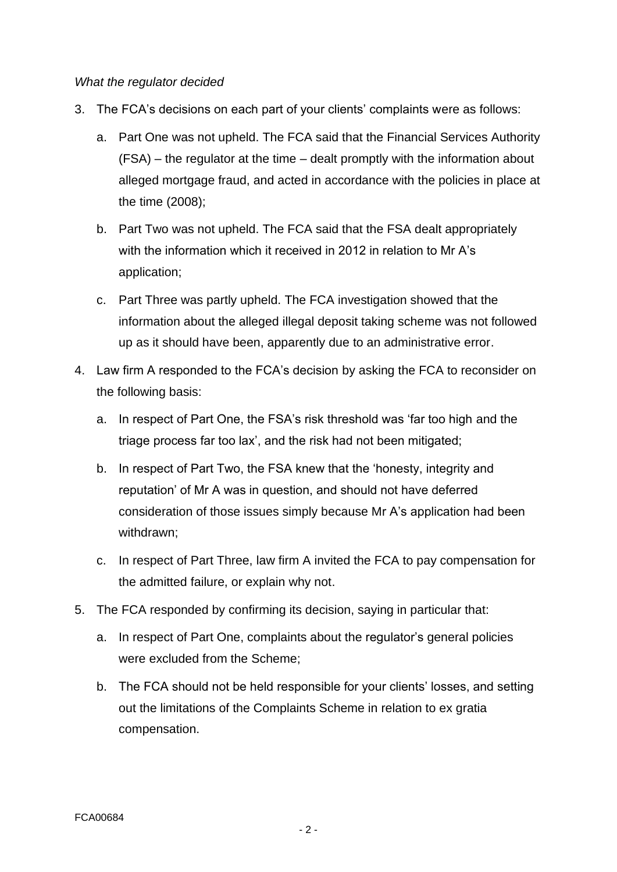#### *What the regulator decided*

- 3. The FCA's decisions on each part of your clients' complaints were as follows:
	- a. Part One was not upheld. The FCA said that the Financial Services Authority (FSA) – the regulator at the time – dealt promptly with the information about alleged mortgage fraud, and acted in accordance with the policies in place at the time (2008);
	- b. Part Two was not upheld. The FCA said that the FSA dealt appropriately with the information which it received in 2012 in relation to Mr A's application;
	- c. Part Three was partly upheld. The FCA investigation showed that the information about the alleged illegal deposit taking scheme was not followed up as it should have been, apparently due to an administrative error.
- 4. Law firm A responded to the FCA's decision by asking the FCA to reconsider on the following basis:
	- a. In respect of Part One, the FSA's risk threshold was 'far too high and the triage process far too lax', and the risk had not been mitigated;
	- b. In respect of Part Two, the FSA knew that the 'honesty, integrity and reputation' of Mr A was in question, and should not have deferred consideration of those issues simply because Mr A's application had been withdrawn;
	- c. In respect of Part Three, law firm A invited the FCA to pay compensation for the admitted failure, or explain why not.
- 5. The FCA responded by confirming its decision, saying in particular that:
	- a. In respect of Part One, complaints about the regulator's general policies were excluded from the Scheme;
	- b. The FCA should not be held responsible for your clients' losses, and setting out the limitations of the Complaints Scheme in relation to ex gratia compensation.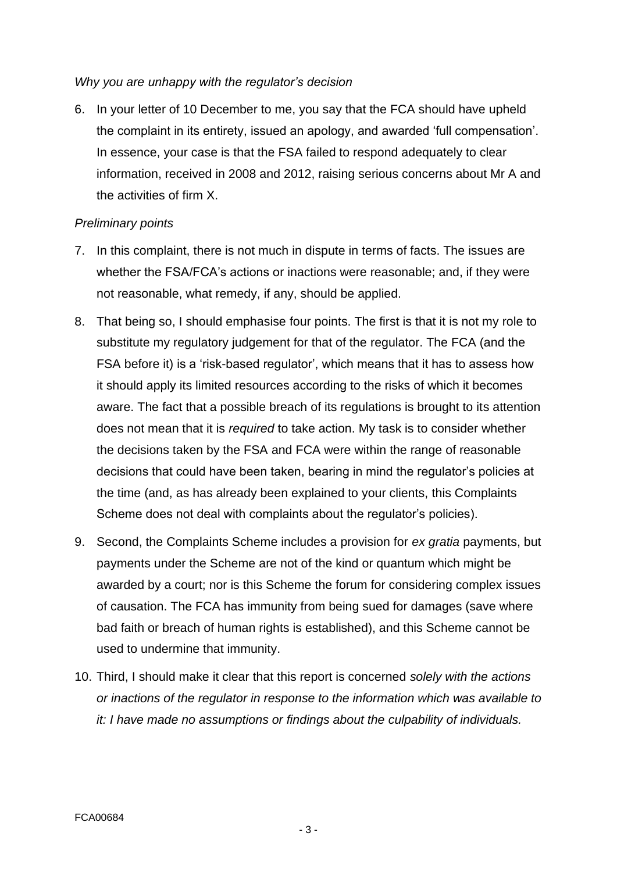#### *Why you are unhappy with the regulator's decision*

6. In your letter of 10 December to me, you say that the FCA should have upheld the complaint in its entirety, issued an apology, and awarded 'full compensation'. In essence, your case is that the FSA failed to respond adequately to clear information, received in 2008 and 2012, raising serious concerns about Mr A and the activities of firm X.

## *Preliminary points*

- 7. In this complaint, there is not much in dispute in terms of facts. The issues are whether the FSA/FCA's actions or inactions were reasonable; and, if they were not reasonable, what remedy, if any, should be applied.
- 8. That being so, I should emphasise four points. The first is that it is not my role to substitute my regulatory judgement for that of the regulator. The FCA (and the FSA before it) is a 'risk-based regulator', which means that it has to assess how it should apply its limited resources according to the risks of which it becomes aware. The fact that a possible breach of its regulations is brought to its attention does not mean that it is *required* to take action. My task is to consider whether the decisions taken by the FSA and FCA were within the range of reasonable decisions that could have been taken, bearing in mind the regulator's policies at the time (and, as has already been explained to your clients, this Complaints Scheme does not deal with complaints about the regulator's policies).
- 9. Second, the Complaints Scheme includes a provision for *ex gratia* payments, but payments under the Scheme are not of the kind or quantum which might be awarded by a court; nor is this Scheme the forum for considering complex issues of causation. The FCA has immunity from being sued for damages (save where bad faith or breach of human rights is established), and this Scheme cannot be used to undermine that immunity.
- 10. Third, I should make it clear that this report is concerned *solely with the actions or inactions of the regulator in response to the information which was available to it: I have made no assumptions or findings about the culpability of individuals.*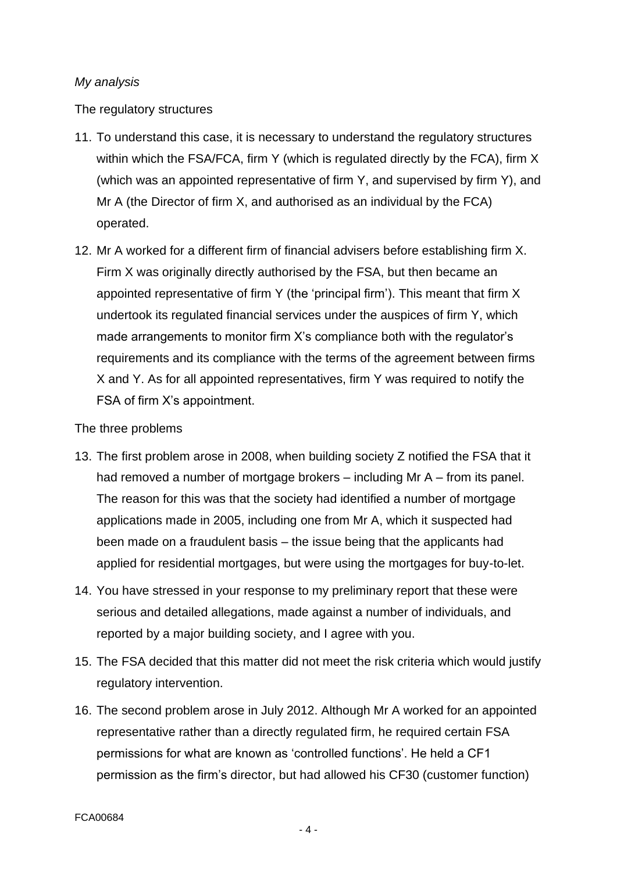## *My analysis*

The regulatory structures

- 11. To understand this case, it is necessary to understand the regulatory structures within which the FSA/FCA, firm Y (which is regulated directly by the FCA), firm X (which was an appointed representative of firm Y, and supervised by firm Y), and Mr A (the Director of firm X, and authorised as an individual by the FCA) operated.
- 12. Mr A worked for a different firm of financial advisers before establishing firm X. Firm X was originally directly authorised by the FSA, but then became an appointed representative of firm Y (the 'principal firm'). This meant that firm X undertook its regulated financial services under the auspices of firm Y, which made arrangements to monitor firm X's compliance both with the regulator's requirements and its compliance with the terms of the agreement between firms X and Y. As for all appointed representatives, firm Y was required to notify the FSA of firm X's appointment.

#### The three problems

- 13. The first problem arose in 2008, when building society Z notified the FSA that it had removed a number of mortgage brokers – including Mr A – from its panel. The reason for this was that the society had identified a number of mortgage applications made in 2005, including one from Mr A, which it suspected had been made on a fraudulent basis – the issue being that the applicants had applied for residential mortgages, but were using the mortgages for buy-to-let.
- 14. You have stressed in your response to my preliminary report that these were serious and detailed allegations, made against a number of individuals, and reported by a major building society, and I agree with you.
- 15. The FSA decided that this matter did not meet the risk criteria which would justify regulatory intervention.
- 16. The second problem arose in July 2012. Although Mr A worked for an appointed representative rather than a directly regulated firm, he required certain FSA permissions for what are known as 'controlled functions'. He held a CF1 permission as the firm's director, but had allowed his CF30 (customer function)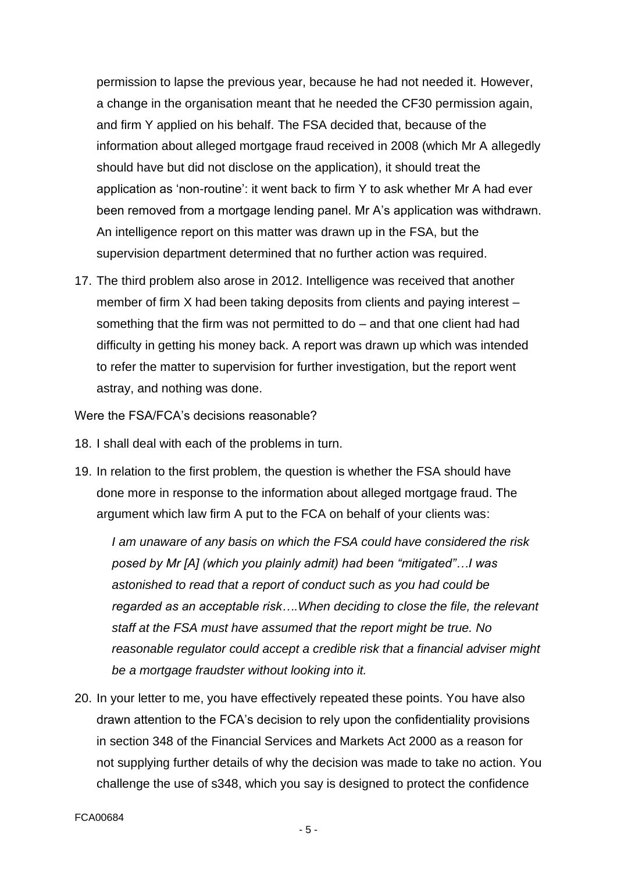permission to lapse the previous year, because he had not needed it. However, a change in the organisation meant that he needed the CF30 permission again, and firm Y applied on his behalf. The FSA decided that, because of the information about alleged mortgage fraud received in 2008 (which Mr A allegedly should have but did not disclose on the application), it should treat the application as 'non-routine': it went back to firm Y to ask whether Mr A had ever been removed from a mortgage lending panel. Mr A's application was withdrawn. An intelligence report on this matter was drawn up in the FSA, but the supervision department determined that no further action was required.

17. The third problem also arose in 2012. Intelligence was received that another member of firm X had been taking deposits from clients and paying interest – something that the firm was not permitted to do – and that one client had had difficulty in getting his money back. A report was drawn up which was intended to refer the matter to supervision for further investigation, but the report went astray, and nothing was done.

Were the FSA/FCA's decisions reasonable?

- 18. I shall deal with each of the problems in turn.
- 19. In relation to the first problem, the question is whether the FSA should have done more in response to the information about alleged mortgage fraud. The argument which law firm A put to the FCA on behalf of your clients was:

*I am unaware of any basis on which the FSA could have considered the risk posed by Mr [A] (which you plainly admit) had been "mitigated"…I was astonished to read that a report of conduct such as you had could be regarded as an acceptable risk….When deciding to close the file, the relevant staff at the FSA must have assumed that the report might be true. No reasonable regulator could accept a credible risk that a financial adviser might be a mortgage fraudster without looking into it.*

20. In your letter to me, you have effectively repeated these points. You have also drawn attention to the FCA's decision to rely upon the confidentiality provisions in section 348 of the Financial Services and Markets Act 2000 as a reason for not supplying further details of why the decision was made to take no action. You challenge the use of s348, which you say is designed to protect the confidence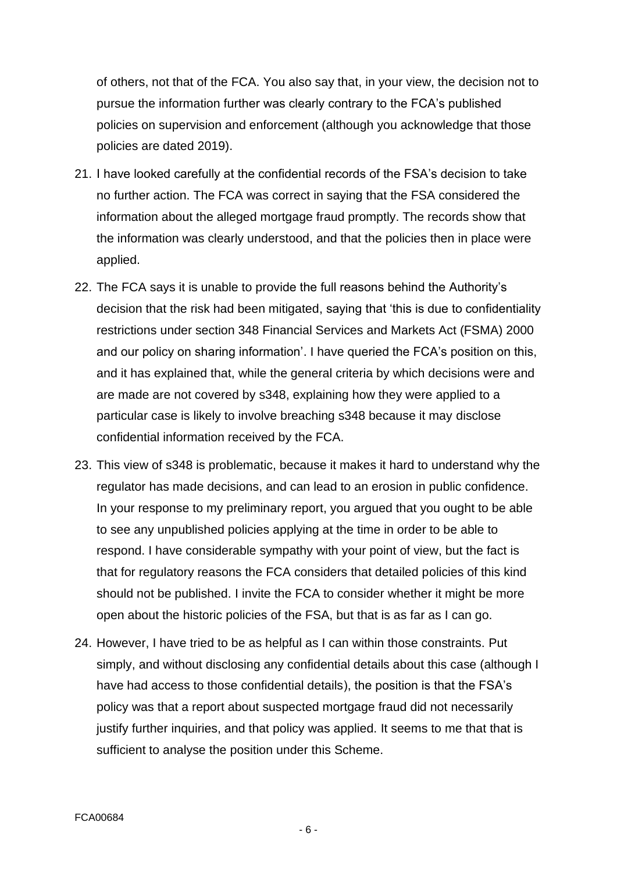of others, not that of the FCA. You also say that, in your view, the decision not to pursue the information further was clearly contrary to the FCA's published policies on supervision and enforcement (although you acknowledge that those policies are dated 2019).

- 21. I have looked carefully at the confidential records of the FSA's decision to take no further action. The FCA was correct in saying that the FSA considered the information about the alleged mortgage fraud promptly. The records show that the information was clearly understood, and that the policies then in place were applied.
- 22. The FCA says it is unable to provide the full reasons behind the Authority's decision that the risk had been mitigated, saying that 'this is due to confidentiality restrictions under section 348 Financial Services and Markets Act (FSMA) 2000 and our policy on sharing information'. I have queried the FCA's position on this, and it has explained that, while the general criteria by which decisions were and are made are not covered by s348, explaining how they were applied to a particular case is likely to involve breaching s348 because it may disclose confidential information received by the FCA.
- 23. This view of s348 is problematic, because it makes it hard to understand why the regulator has made decisions, and can lead to an erosion in public confidence. In your response to my preliminary report, you argued that you ought to be able to see any unpublished policies applying at the time in order to be able to respond. I have considerable sympathy with your point of view, but the fact is that for regulatory reasons the FCA considers that detailed policies of this kind should not be published. I invite the FCA to consider whether it might be more open about the historic policies of the FSA, but that is as far as I can go.
- 24. However, I have tried to be as helpful as I can within those constraints. Put simply, and without disclosing any confidential details about this case (although I have had access to those confidential details), the position is that the FSA's policy was that a report about suspected mortgage fraud did not necessarily justify further inquiries, and that policy was applied. It seems to me that that is sufficient to analyse the position under this Scheme.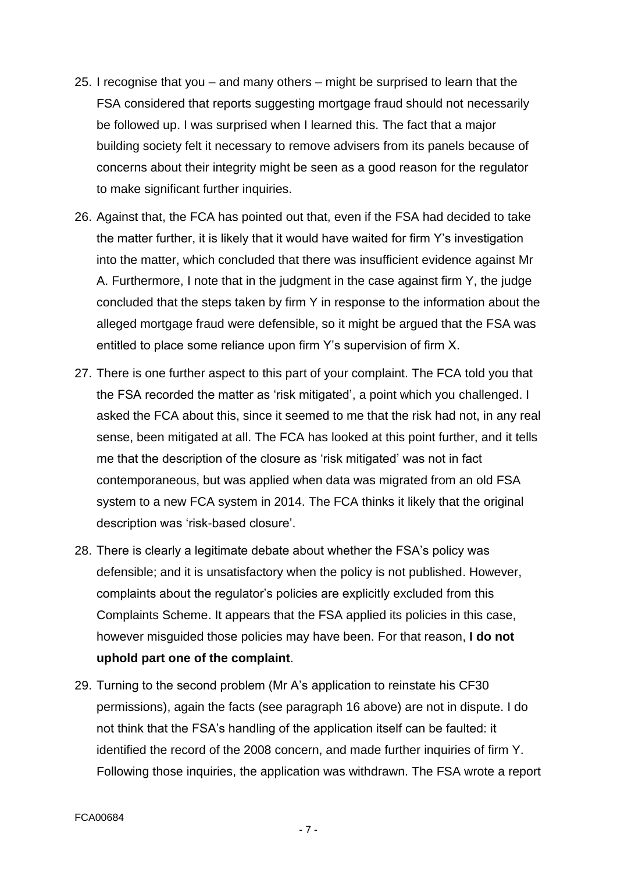- 25. I recognise that you and many others might be surprised to learn that the FSA considered that reports suggesting mortgage fraud should not necessarily be followed up. I was surprised when I learned this. The fact that a major building society felt it necessary to remove advisers from its panels because of concerns about their integrity might be seen as a good reason for the regulator to make significant further inquiries.
- 26. Against that, the FCA has pointed out that, even if the FSA had decided to take the matter further, it is likely that it would have waited for firm Y's investigation into the matter, which concluded that there was insufficient evidence against Mr A. Furthermore, I note that in the judgment in the case against firm Y, the judge concluded that the steps taken by firm Y in response to the information about the alleged mortgage fraud were defensible, so it might be argued that the FSA was entitled to place some reliance upon firm Y's supervision of firm X.
- 27. There is one further aspect to this part of your complaint. The FCA told you that the FSA recorded the matter as 'risk mitigated', a point which you challenged. I asked the FCA about this, since it seemed to me that the risk had not, in any real sense, been mitigated at all. The FCA has looked at this point further, and it tells me that the description of the closure as 'risk mitigated' was not in fact contemporaneous, but was applied when data was migrated from an old FSA system to a new FCA system in 2014. The FCA thinks it likely that the original description was 'risk-based closure'.
- 28. There is clearly a legitimate debate about whether the FSA's policy was defensible; and it is unsatisfactory when the policy is not published. However, complaints about the regulator's policies are explicitly excluded from this Complaints Scheme. It appears that the FSA applied its policies in this case, however misguided those policies may have been. For that reason, **I do not uphold part one of the complaint**.
- 29. Turning to the second problem (Mr A's application to reinstate his CF30 permissions), again the facts (see paragraph 16 above) are not in dispute. I do not think that the FSA's handling of the application itself can be faulted: it identified the record of the 2008 concern, and made further inquiries of firm Y. Following those inquiries, the application was withdrawn. The FSA wrote a report

- 7 -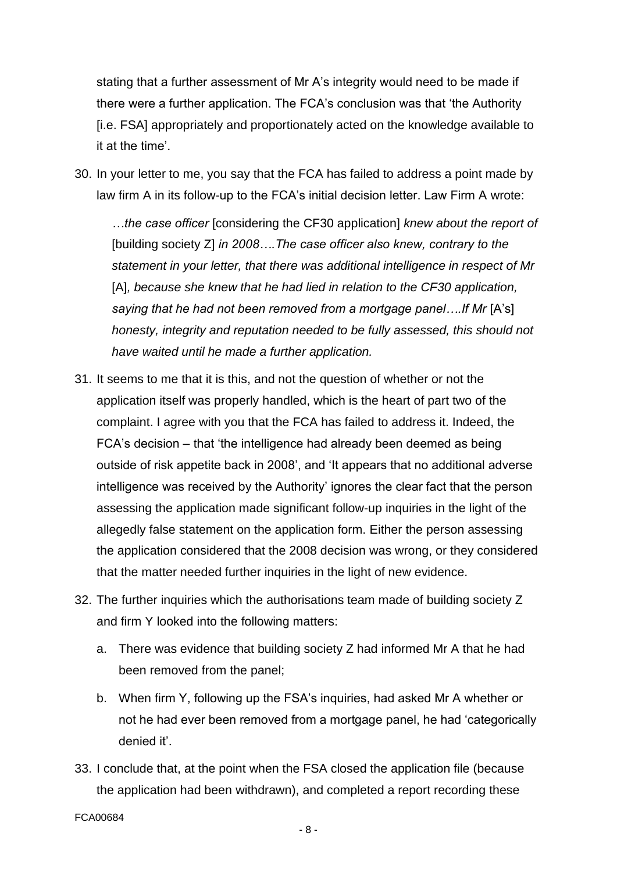stating that a further assessment of Mr A's integrity would need to be made if there were a further application. The FCA's conclusion was that 'the Authority [i.e. FSA] appropriately and proportionately acted on the knowledge available to it at the time'.

30. In your letter to me, you say that the FCA has failed to address a point made by law firm A in its follow-up to the FCA's initial decision letter. Law Firm A wrote:

*…the case officer* [considering the CF30 application] *knew about the report of*  [building society Z] *in 2008….The case officer also knew, contrary to the statement in your letter, that there was additional intelligence in respect of Mr*  [A], because she knew that he had lied in relation to the CF30 application, *saying that he had not been removed from a mortgage panel....If Mr [A's] honesty, integrity and reputation needed to be fully assessed, this should not have waited until he made a further application.*

- 31. It seems to me that it is this, and not the question of whether or not the application itself was properly handled, which is the heart of part two of the complaint. I agree with you that the FCA has failed to address it. Indeed, the FCA's decision – that 'the intelligence had already been deemed as being outside of risk appetite back in 2008', and 'It appears that no additional adverse intelligence was received by the Authority' ignores the clear fact that the person assessing the application made significant follow-up inquiries in the light of the allegedly false statement on the application form. Either the person assessing the application considered that the 2008 decision was wrong, or they considered that the matter needed further inquiries in the light of new evidence.
- 32. The further inquiries which the authorisations team made of building society Z and firm Y looked into the following matters:
	- a. There was evidence that building society Z had informed Mr A that he had been removed from the panel;
	- b. When firm Y, following up the FSA's inquiries, had asked Mr A whether or not he had ever been removed from a mortgage panel, he had 'categorically denied it'.
- 33. I conclude that, at the point when the FSA closed the application file (because the application had been withdrawn), and completed a report recording these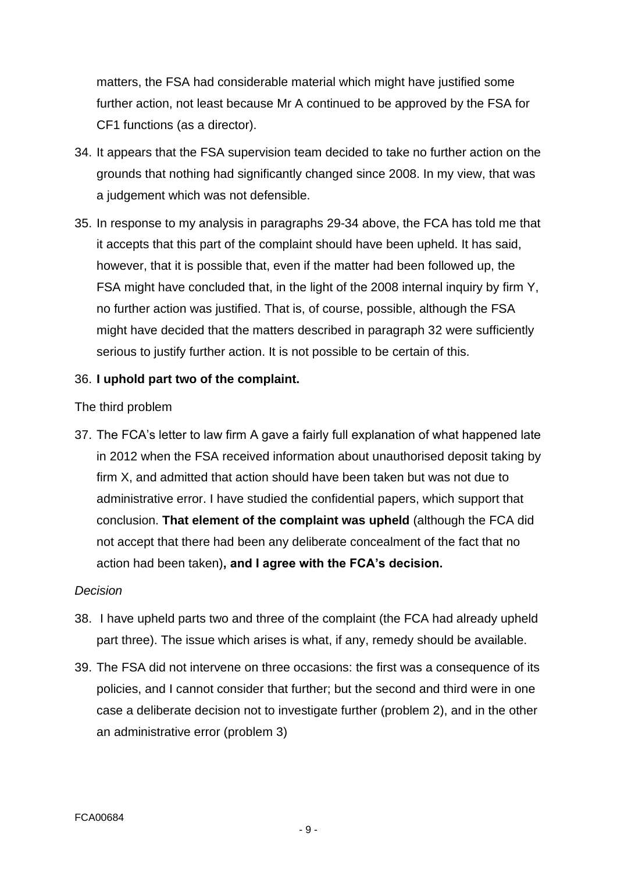matters, the FSA had considerable material which might have justified some further action, not least because Mr A continued to be approved by the FSA for CF1 functions (as a director).

- 34. It appears that the FSA supervision team decided to take no further action on the grounds that nothing had significantly changed since 2008. In my view, that was a judgement which was not defensible.
- 35. In response to my analysis in paragraphs 29-34 above, the FCA has told me that it accepts that this part of the complaint should have been upheld. It has said, however, that it is possible that, even if the matter had been followed up, the FSA might have concluded that, in the light of the 2008 internal inquiry by firm Y, no further action was justified. That is, of course, possible, although the FSA might have decided that the matters described in paragraph 32 were sufficiently serious to justify further action. It is not possible to be certain of this.

## 36. **I uphold part two of the complaint.**

#### The third problem

37. The FCA's letter to law firm A gave a fairly full explanation of what happened late in 2012 when the FSA received information about unauthorised deposit taking by firm X, and admitted that action should have been taken but was not due to administrative error. I have studied the confidential papers, which support that conclusion. **That element of the complaint was upheld** (although the FCA did not accept that there had been any deliberate concealment of the fact that no action had been taken)**, and I agree with the FCA's decision.**

#### *Decision*

- 38. I have upheld parts two and three of the complaint (the FCA had already upheld part three). The issue which arises is what, if any, remedy should be available.
- 39. The FSA did not intervene on three occasions: the first was a consequence of its policies, and I cannot consider that further; but the second and third were in one case a deliberate decision not to investigate further (problem 2), and in the other an administrative error (problem 3)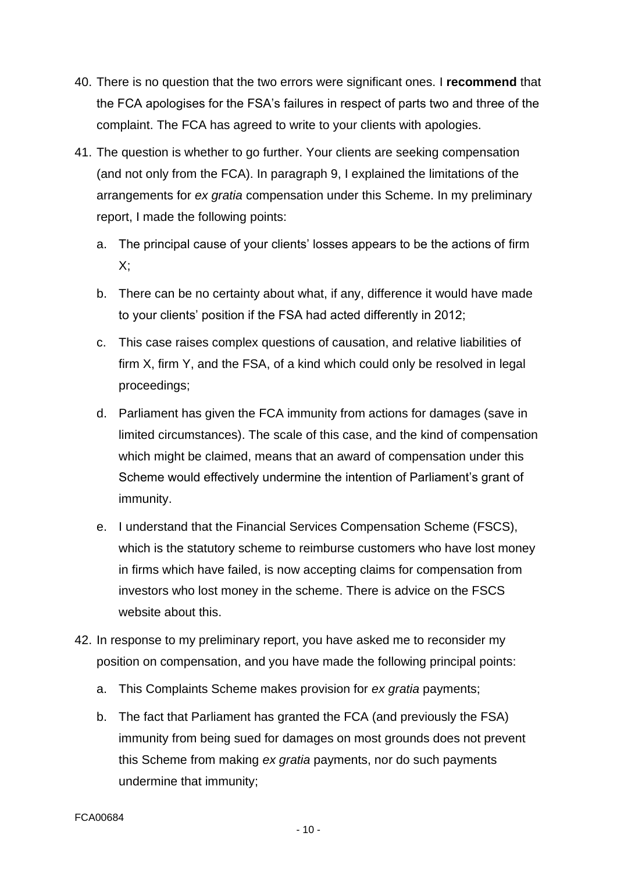- 40. There is no question that the two errors were significant ones. I **recommend** that the FCA apologises for the FSA's failures in respect of parts two and three of the complaint. The FCA has agreed to write to your clients with apologies.
- 41. The question is whether to go further. Your clients are seeking compensation (and not only from the FCA). In paragraph 9, I explained the limitations of the arrangements for *ex gratia* compensation under this Scheme. In my preliminary report, I made the following points:
	- a. The principal cause of your clients' losses appears to be the actions of firm  $X$ :
	- b. There can be no certainty about what, if any, difference it would have made to your clients' position if the FSA had acted differently in 2012;
	- c. This case raises complex questions of causation, and relative liabilities of firm X, firm Y, and the FSA, of a kind which could only be resolved in legal proceedings;
	- d. Parliament has given the FCA immunity from actions for damages (save in limited circumstances). The scale of this case, and the kind of compensation which might be claimed, means that an award of compensation under this Scheme would effectively undermine the intention of Parliament's grant of immunity.
	- e. I understand that the Financial Services Compensation Scheme (FSCS), which is the statutory scheme to reimburse customers who have lost money in firms which have failed, is now accepting claims for compensation from investors who lost money in the scheme. There is advice on the FSCS website about this.
- 42. In response to my preliminary report, you have asked me to reconsider my position on compensation, and you have made the following principal points:
	- a. This Complaints Scheme makes provision for *ex gratia* payments;
	- b. The fact that Parliament has granted the FCA (and previously the FSA) immunity from being sued for damages on most grounds does not prevent this Scheme from making *ex gratia* payments, nor do such payments undermine that immunity;